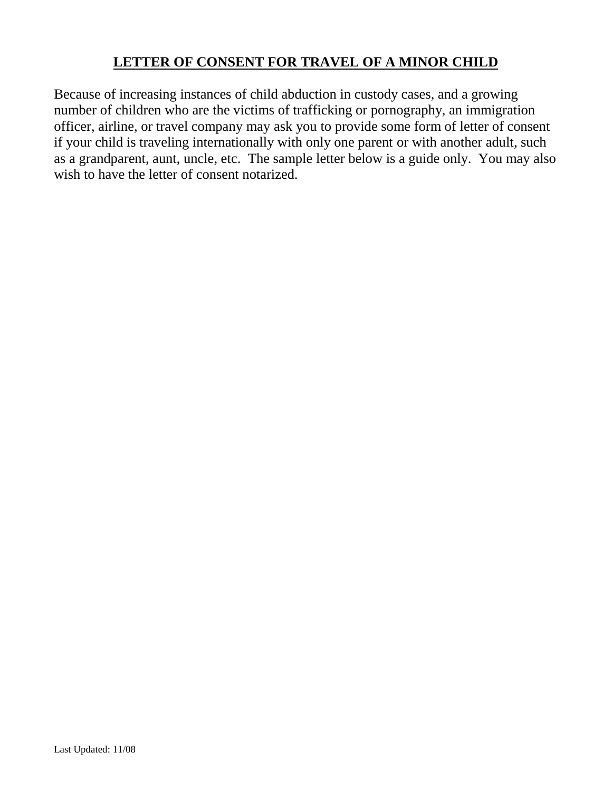## **LETTER OF CONSENT FOR TRAVEL OF A MINOR CHILD**

Because of increasing instances of child abduction in custody cases, and a growing number of children who are the victims of trafficking or pornography, an immigration officer, airline, or travel company may ask you to provide some form of letter of consent if your child is traveling internationally with only one parent or with another adult, such as a grandparent, aunt, uncle, etc. The sample letter below is a guide only. You may also wish to have the letter of consent notarized.